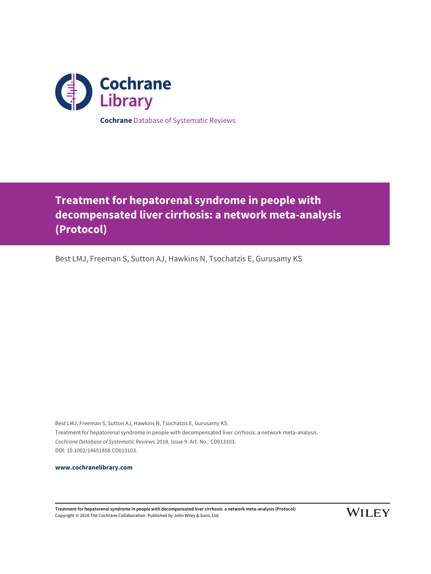

**Cochrane** Database of Systematic Reviews

# **Treatment for hepatorenal syndrome in people with decompensated liver cirrhosis: a network meta-analysis (Protocol)**

Best LMJ, Freeman S, Sutton AJ, Hawkins N, Tsochatzis E, Gurusamy KS

Best LMJ, Freeman S, Sutton AJ, Hawkins N, Tsochatzis E, Gurusamy KS. Treatment for hepatorenal syndrome in people with decompensated liver cirrhosis: a network meta-analysis. Cochrane Database of Systematic Reviews 2018, Issue 9. Art. No.: CD013103. DOI: 10.1002/14651858.CD013103.

**[www.cochranelibrary.com](http://www.cochranelibrary.com)**

**Treatment for hepatorenal syndrome in people with decompensated liver cirrhosis: a network meta-analysis (Protocol)** Copyright © 2018 The Cochrane Collaboration. Published by John Wiley & Sons, Ltd.

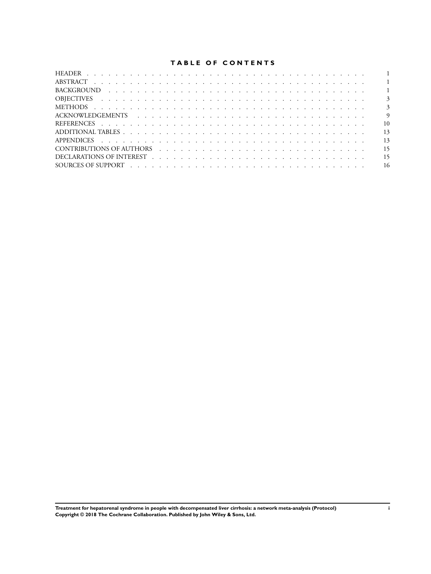# **TABLE OF CONTENTS**

|                                                     | $\overline{1}$          |
|-----------------------------------------------------|-------------------------|
|                                                     | $\overline{3}$          |
|                                                     | $\overline{\mathbf{3}}$ |
|                                                     | 9                       |
|                                                     | 10                      |
|                                                     | 13                      |
|                                                     | 13                      |
| CONTRIBUTIONS OF AUTHORS (CONTRIBUTIONS OF AUTHORS) | 15                      |
|                                                     | 15                      |
|                                                     | 16                      |

**Treatment for hepatorenal syndrome in people with decompensated liver cirrhosis: a network meta-analysis (Protocol) i Copyright © 2018 The Cochrane Collaboration. Published by John Wiley & Sons, Ltd.**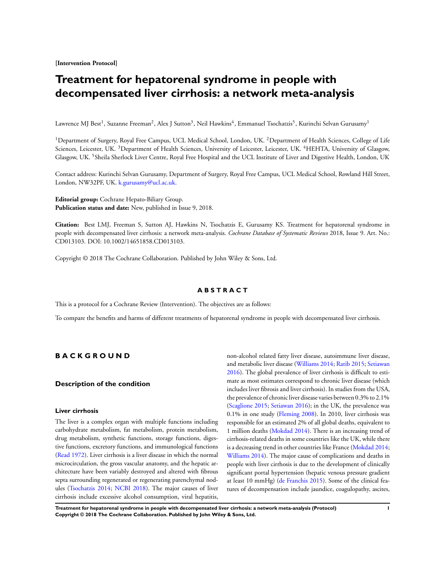<span id="page-2-0"></span>**[Intervention Protocol]**

# **Treatment for hepatorenal syndrome in people with decompensated liver cirrhosis: a network meta-analysis**

Lawrence MJ Best<sup>1</sup>, Suzanne Freeman<sup>2</sup>, Alex J Sutton<sup>3</sup>, Neil Hawkins<sup>4</sup>, Emmanuel Tsochatzis<sup>5</sup>, Kurinchi Selvan Gurusamy<sup>1</sup>

<sup>1</sup>Department of Surgery, Royal Free Campus, UCL Medical School, London, UK. <sup>2</sup>Department of Health Sciences, College of Life Sciences, Leicester, UK. <sup>3</sup>Department of Health Sciences, University of Leicester, Leicester, UK. <sup>4</sup>HEHTA, University of Glasgow, Glasgow, UK. <sup>5</sup>Sheila Sherlock Liver Centre, Royal Free Hospital and the UCL Institute of Liver and Digestive Health, London, UK

Contact address: Kurinchi Selvan Gurusamy, Department of Surgery, Royal Free Campus, UCL Medical School, Rowland Hill Street, London, NW32PF, UK. [k.gurusamy@ucl.ac.uk.](mailto:k.gurusamy@ucl.ac.uk)

**Editorial group:** Cochrane Hepato-Biliary Group. **Publication status and date:** New, published in Issue 9, 2018.

**Citation:** Best LMJ, Freeman S, Sutton AJ, Hawkins N, Tsochatzis E, Gurusamy KS. Treatment for hepatorenal syndrome in people with decompensated liver cirrhosis: a network meta-analysis. *Cochrane Database of Systematic Reviews* 2018, Issue 9. Art. No.: CD013103. DOI: 10.1002/14651858.CD013103.

Copyright © 2018 The Cochrane Collaboration. Published by John Wiley & Sons, Ltd.

## **A B S T R A C T**

This is a protocol for a Cochrane Review (Intervention). The objectives are as follows:

To compare the benefits and harms of different treatments of hepatorenal syndrome in people with decompensated liver cirrhosis.

# **B A C K G R O U N D**

## **Description of the condition**

#### **Liver cirrhosis**

The liver is a complex organ with multiple functions including carbohydrate metabolism, fat metabolism, protein metabolism, drug metabolism, synthetic functions, storage functions, digestive functions, excretory functions, and immunological functions [\(Read 1972\)](#page-11-0). Liver cirrhosis is a liver disease in which the normal microcirculation, the gross vascular anatomy, and the hepatic architecture have been variably destroyed and altered with fibrous septa surrounding regenerated or regenerating parenchymal nodules ([Tsochatzis 2014;](#page-11-0) [NCBI 2018](#page-11-0)). The major causes of liver cirrhosis include excessive alcohol consumption, viral hepatitis,

non-alcohol related fatty liver disease, autoimmune liver disease, and metabolic liver disease ([Williams 2014](#page-11-0); [Ratib 2015](#page-11-0); [Setiawan](#page-11-0) [2016](#page-11-0)). The global prevalence of liver cirrhosis is difficult to estimate as most estimates correspond to chronic liver disease (which includes liver fibrosis and liver cirrhosis). In studies from the USA, the prevalence of chronic liver disease varies between 0.3% to 2.1% [\(Scaglione 2015](#page-11-0); [Setiawan 2016\)](#page-11-0); in the UK, the prevalence was 0.1% in one study ([Fleming 2008](#page-11-0)). In 2010, liver cirrhosis was responsible for an estimated 2% of all global deaths, equivalent to 1 million deaths ([Mokdad 2014\)](#page-11-0). There is an increasing trend of cirrhosis-related deaths in some countries like the UK, while there is a decreasing trend in other countries like France ([Mokdad 2014;](#page-11-0) [Williams 2014\)](#page-11-0). The major cause of complications and deaths in people with liver cirrhosis is due to the development of clinically significant portal hypertension (hepatic venous pressure gradient at least 10 mmHg) [\(de Franchis 2015\)](#page-11-0). Some of the clinical features of decompensation include jaundice, coagulopathy, ascites,

**Treatment for hepatorenal syndrome in people with decompensated liver cirrhosis: a network meta-analysis (Protocol) 1 Copyright © 2018 The Cochrane Collaboration. Published by John Wiley & Sons, Ltd.**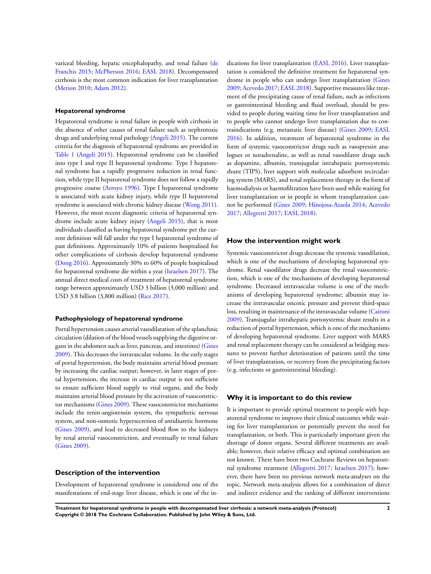variceal bleeding, hepatic encephalopathy, and renal failure [\(de](#page-11-0) [Franchis 2015](#page-11-0); [McPherson 2016;](#page-11-0) [EASL 2018](#page-11-0)). Decompensated cirrhosis is the most common indication for liver transplantation [\(Merion 2010](#page-11-0); [Adam 2012\)](#page-11-0).

## **Hepatorenal syndrome**

Hepatorenal syndrome is renal failure in people with cirrhosis in the absence of other causes of renal failure such as nephrotoxic drugs and underlying renal pathology [\(Angeli 2015\)](#page-11-0). The current criteria for the diagnosis of hepatorenal syndrome are provided in [Table 1](#page-14-0) ([Angeli 2015\)](#page-11-0). Hepatorenal syndrome can be classified into type I and type II hepatorenal syndrome. Type I hepatorenal syndrome has a rapidly progressive reduction in renal function, while type II hepatorenal syndrome does not follow a rapidly progressive course ([Arroyo 1996\)](#page-11-0). Type I hepatorenal syndrome is associated with acute kidney injury, while type II hepatorenal syndrome is associated with chronic kidney disease [\(Wong 2011](#page-11-0)). However, the most recent diagnostic criteria of hepatorenal syndrome include acute kidney injury [\(Angeli 2015](#page-11-0)), that is most individuals classified as having hepatorenal syndrome per the current definition will fall under the type I hepatorenal syndrome of past definitions. Approximately 10% of patients hospitalised for other complications of cirrhosis develop hepatorenal syndrome [\(Dong 2016](#page-11-0)). Approximately 30% to 60% of people hospitalised for hepatorenal syndrome die within a year [\(Israelsen 2017\)](#page-11-0). The annual direct medical costs of treatment of hepatorenal syndrome range between approximately USD 3 billion (3,000 million) and USD 3.8 billion (3,800 million) ([Rice 2017](#page-11-0)).

#### **Pathophysiology of hepatorenal syndrome**

Portal hypertension causes arterial vasodilatation of the splanchnic circulation (dilation of the blood vessels supplying the digestive organs in the abdomen such as liver, pancreas, and intestines) [\(Gines](#page-11-0) [2009](#page-11-0)). This decreases the intravascular volume. In the early stages of portal hypertension, the body maintains arterial blood pressure by increasing the cardiac output; however, in later stages of portal hypertension, the increase in cardiac output is not sufficient to ensure sufficient blood supply to vital organs, and the body maintains arterial blood pressure by the activation of vasoconstrictor mechanisms [\(Gines 2009](#page-11-0)). These vasoconstrictor mechanisms include the renin-angiotensin system, the sympathetic nervous system, and non-osmotic hypersecretion of antidiuretic hormone [\(Gines 2009](#page-11-0)), and lead to decreased blood flow to the kidneys by renal arterial vasoconstriction, and eventually to renal failure [\(Gines 2009](#page-11-0)).

# **Description of the intervention**

Development of hepatorenal syndrome is considered one of the manifestations of end-stage liver disease, which is one of the indications for liver transplantation ([EASL 2016](#page-11-0)). Liver transplantation is considered the definitive treatment for hepatorenal syndrome in people who can undergo liver transplantation [\(Gines](#page-11-0) [2009](#page-11-0); [Acevedo 2017;](#page-11-0) [EASL 2018](#page-11-0)). Supportive measures like treatment of the precipitating cause of renal failure, such as infections or gastrointestinal bleeding and fluid overload, should be provided to people during waiting time for liver transplantation and to people who cannot undergo liver transplantation due to contraindications (e.g. metastatic liver disease) [\(Gines 2009;](#page-11-0) [EASL](#page-11-0) [2016](#page-11-0)). In addition, treatment of hepatorenal syndrome in the form of systemic vasoconstrictor drugs such as vasopressin analogues or noradrenaline, as well as renal vasodilator drugs such as dopamine, albumin, transjugular intrahepatic portosystemic shunt (TIPS), liver support with molecular adsorbent recirculating system (MARS), and renal replacement therapy in the form of haemodialysis or haemofiltration have been used while waiting for liver transplantation or in people in whom transplantation cannot be performed [\(Gines 2009](#page-11-0); [Hinojosa-Azaola 2014](#page-11-0); [Acevedo](#page-11-0) [2017](#page-11-0); [Allegretti 2017;](#page-11-0) [EASL 2018\)](#page-11-0).

# **How the intervention might work**

Systemic vasoconstrictor drugs decrease the systemic vasodilation, which is one of the mechanisms of developing hepatorenal syndrome. Renal vasodilator drugs decrease the renal vasoconstriction, which is one of the mechanisms of developing hepatorenal syndrome. Decreased intravascular volume is one of the mechanisms of developing hepatorenal syndrome; albumin may increase the intravascular oncotic pressure and prevent third-space loss, resulting in maintenance of the intravascular volume ([Caironi](#page-11-0) [2009](#page-11-0)). Transjugular intrahepatic portosystemic shunt results in a reduction of portal hypertension, which is one of the mechanisms of developing hepatorenal syndrome. Liver support with MARS and renal replacement therapy can be considered as bridging measures to prevent further deterioration of patients until the time of liver transplantation, or recovery from the precipitating factors (e.g. infections or gastrointestinal bleeding).

## **Why it is important to do this review**

It is important to provide optimal treatment to people with hepatorenal syndrome to improve their clinical outcomes while waiting for liver transplantation or potentially prevent the need for transplantation, or both. This is particularly important given the shortage of donor organs. Several different treatments are available; however, their relative efficacy and optimal combination are not known. There have been two Cochrane Reviews on hepatorenal syndrome treatment ([Allegretti 2017;](#page-11-0) [Israelsen 2017](#page-11-0)); however, there have been no previous network meta-analyses on the topic. Network meta-analysis allows for a combination of direct and indirect evidence and the ranking of different interventions

**Treatment for hepatorenal syndrome in people with decompensated liver cirrhosis: a network meta-analysis (Protocol) 2 Copyright © 2018 The Cochrane Collaboration. Published by John Wiley & Sons, Ltd.**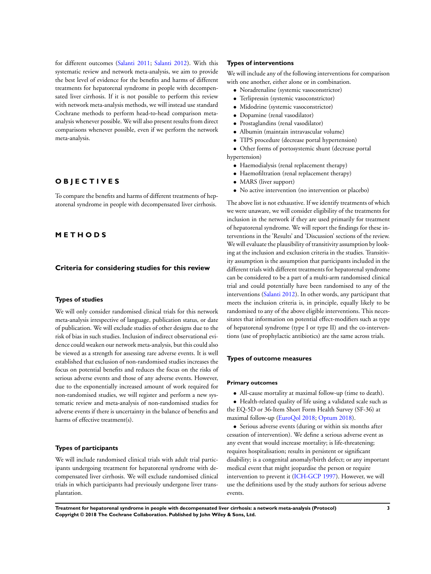for different outcomes [\(Salanti 2011](#page-11-0); [Salanti 2012](#page-11-0)). With this systematic review and network meta-analysis, we aim to provide the best level of evidence for the benefits and harms of different treatments for hepatorenal syndrome in people with decompensated liver cirrhosis. If it is not possible to perform this review with network meta-analysis methods, we will instead use standard Cochrane methods to perform head-to-head comparison metaanalysis whenever possible. We will also present results from direct comparisons whenever possible, even if we perform the network meta-analysis.

# **O B J E C T I V E S**

To compare the benefits and harms of different treatments of hepatorenal syndrome in people with decompensated liver cirrhosis.

# **M E T H O D S**

# **Criteria for considering studies for this review**

#### **Types of studies**

We will only consider randomised clinical trials for this network meta-analysis irrespective of language, publication status, or date of publication. We will exclude studies of other designs due to the risk of bias in such studies. Inclusion of indirect observational evidence could weaken our network meta-analysis, but this could also be viewed as a strength for assessing rare adverse events. It is well established that exclusion of non-randomised studies increases the focus on potential benefits and reduces the focus on the risks of serious adverse events and those of any adverse events. However, due to the exponentially increased amount of work required for non-randomised studies, we will register and perform a new systematic review and meta-analysis of non-randomised studies for adverse events if there is uncertainty in the balance of benefits and harms of effective treatment(s).

# **Types of participants**

We will include randomised clinical trials with adult trial participants undergoing treatment for hepatorenal syndrome with decompensated liver cirrhosis. We will exclude randomised clinical trials in which participants had previously undergone liver transplantation.

#### **Types of interventions**

We will include any of the following interventions for comparison with one another, either alone or in combination.

- Noradrenaline (systemic vasoconstrictor)
- Terlipressin (systemic vasoconstrictor)
- Midodrine (systemic vasoconstrictor)
- Dopamine (renal vasodilator)
- Prostaglandins (renal vasodilator)
- Albumin (maintain intravascular volume)
- TIPS procedure (decrease portal hypertension)
- Other forms of portosystemic shunt (decrease portal hypertension)
	- Haemodialysis (renal replacement therapy)
	- Haemofiltration (renal replacement therapy)
	- MARS (liver support)
	- No active intervention (no intervention or placebo)

The above list is not exhaustive. If we identify treatments of which we were unaware, we will consider eligibility of the treatments for inclusion in the network if they are used primarily for treatment of hepatorenal syndrome. We will report the findings for these interventions in the 'Results' and 'Discussion' sections of the review. We will evaluate the plausibility of transitivity assumption by looking at the inclusion and exclusion criteria in the studies. Transitivity assumption is the assumption that participants included in the different trials with different treatments for hepatorenal syndrome can be considered to be a part of a multi-arm randomised clinical trial and could potentially have been randomised to any of the interventions ([Salanti 2012\)](#page-11-0). In other words, any participant that meets the inclusion criteria is, in principle, equally likely to be randomised to any of the above eligible interventions. This necessitates that information on potential effect-modifiers such as type of hepatorenal syndrome (type I or type II) and the co-interventions (use of prophylactic antibiotics) are the same across trials.

#### **Types of outcome measures**

#### **Primary outcomes**

• All-cause mortality at maximal follow-up (time to death).

• Health-related quality of life using a validated scale such as the EQ-5D or 36-Item Short Form Health Survey (SF-36) at maximal follow-up [\(EuroQol 2018](#page-11-0); [Optum 2018](#page-11-0)).

• Serious adverse events (during or within six months after cessation of intervention). We define a serious adverse event as any event that would increase mortality; is life-threatening; requires hospitalisation; results in persistent or significant disability; is a congenital anomaly/birth defect; or any important medical event that might jeopardise the person or require intervention to prevent it ([ICH-GCP 1997\)](#page-11-0). However, we will use the definitions used by the study authors for serious adverse events.

**Treatment for hepatorenal syndrome in people with decompensated liver cirrhosis: a network meta-analysis (Protocol) 3 Copyright © 2018 The Cochrane Collaboration. Published by John Wiley & Sons, Ltd.**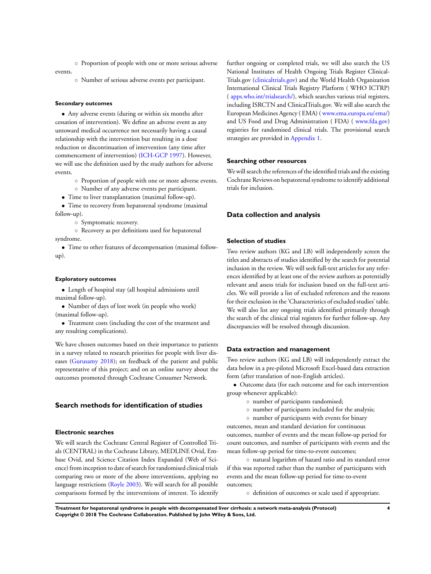◦ Proportion of people with one or more serious adverse events.

◦ Number of serious adverse events per participant.

#### **Secondary outcomes**

• Any adverse events (during or within six months after cessation of intervention). We define an adverse event as any untoward medical occurrence not necessarily having a causal relationship with the intervention but resulting in a dose reduction or discontinuation of intervention (any time after commencement of intervention) [\(ICH-GCP 1997\)](#page-11-0). However, we will use the definition used by the study authors for adverse events.

- Proportion of people with one or more adverse events.
- Number of any adverse events per participant.
- Time to liver transplantation (maximal follow-up).

• Time to recovery from hepatorenal syndrome (maximal follow-up).

◦ Symptomatic recovery.

◦ Recovery as per definitions used for hepatorenal syndrome.

• Time to other features of decompensation (maximal followup).

#### **Exploratory outcomes**

• Length of hospital stay (all hospital admissions until maximal follow-up).

• Number of days of lost work (in people who work) (maximal follow-up).

• Treatment costs (including the cost of the treatment and any resulting complications).

We have chosen outcomes based on their importance to patients in a survey related to research priorities for people with liver diseases ([Gurusamy 2018\)](#page-11-0); on feedback of the patient and public representative of this project; and on an online survey about the outcomes promoted through Cochrane Consumer Network.

# **Search methods for identification of studies**

#### **Electronic searches**

We will search the Cochrane Central Register of Controlled Trials (CENTRAL) in the Cochrane Library, MEDLINE Ovid, Embase Ovid, and Science Citation Index Expanded (Web of Science) from inception to date of search for randomised clinical trials comparing two or more of the above interventions, applying no language restrictions [\(Royle 2003\)](#page-11-0). We will search for all possible comparisons formed by the interventions of interest. To identify further ongoing or completed trials, we will also search the US National Institutes of Health Ongoing Trials Register Clinical-Trials.gov ([clinicaltrials.gov\)](https://clinicaltrials.gov/) and the World Health Organization International Clinical Trials Registry Platform ( WHO ICTRP) ( [apps.who.int/trialsearch/\)](http://apps.who.int/trialsearch/), which searches various trial registers, including ISRCTN and ClinicalTrials.gov. We will also search the European Medicines Agency ( EMA) ( [www.ema.europa.eu/ema/](http://www.ema.europa.eu/ema/)) and US Food and Drug Administration ( FDA) ( [www.fda.gov](http://www.fda.gov)) registries for randomised clinical trials. The provisional search strategies are provided in [Appendix 1.](#page-15-0)

#### **Searching other resources**

We will search the references of the identified trials and the existing Cochrane Reviews on hepatorenal syndrome to identify additional trials for inclusion.

# **Data collection and analysis**

#### **Selection of studies**

Two review authors (KG and LB) will independently screen the titles and abstracts of studies identified by the search for potential inclusion in the review. We will seek full-text articles for any references identified by at least one of the review authors as potentially relevant and assess trials for inclusion based on the full-text articles. We will provide a list of excluded references and the reasons for their exclusion in the 'Characteristics of excluded studies' table. We will also list any ongoing trials identified primarily through the search of the clinical trial registers for further follow-up. Any discrepancies will be resolved through discussion.

#### **Data extraction and management**

Two review authors (KG and LB) will independently extract the data below in a pre-piloted Microsoft Excel-based data extraction form (after translation of non-English articles).

• Outcome data (for each outcome and for each intervention group whenever applicable):

- number of participants randomised;
- number of participants included for the analysis;
- number of participants with events for binary

outcomes, mean and standard deviation for continuous outcomes, number of events and the mean follow-up period for count outcomes, and number of participants with events and the mean follow-up period for time-to-event outcomes;

◦ natural logarithm of hazard ratio and its standard error if this was reported rather than the number of participants with events and the mean follow-up period for time-to-event outcomes;

◦ definition of outcomes or scale used if appropriate.

**Treatment for hepatorenal syndrome in people with decompensated liver cirrhosis: a network meta-analysis (Protocol) 4 Copyright © 2018 The Cochrane Collaboration. Published by John Wiley & Sons, Ltd.**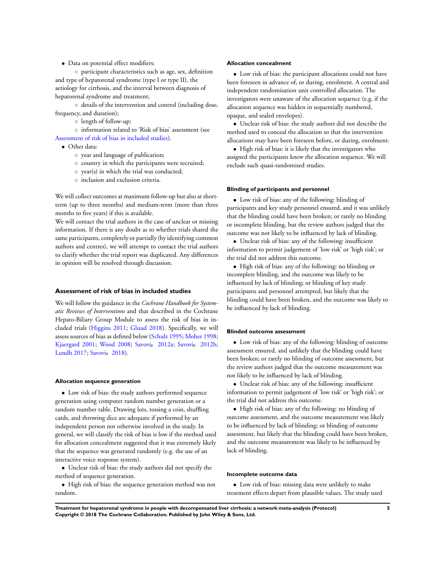• Data on potential effect modifiers:

◦ participant characteristics such as age, sex, definition and type of hepatorenal syndrome (type I or type II), the aetiology for cirrhosis, and the interval between diagnosis of hepatorenal syndrome and treatment;

◦ details of the intervention and control (including dose, frequency, and duration);

◦ length of follow-up;

◦ information related to 'Risk of bias' assessment (see [Assessment of risk of bias in included studies\)](#page-2-0).

- Other data:
	- year and language of publication;
	- country in which the participants were recruited;
	- year(s) in which the trial was conducted;
	- inclusion and exclusion criteria.

We will collect outcomes at maximum follow-up but also at shortterm (up to three months) and medium-term (more than three months to five years) if this is available.

We will contact the trial authors in the case of unclear or missing information. If there is any doubt as to whether trials shared the same participants, completely or partially (by identifying common authors and centres), we will attempt to contact the trial authors to clarify whether the trial report was duplicated. Any differences in opinion will be resolved through discussion.

# **Assessment of risk of bias in included studies**

We will follow the guidance in the *Cochrane Handbook for Systematic Reviews of Interventions* and that described in the Cochrane Hepato-Biliary Group Module to assess the risk of bias in included trials ([Higgins 2011](#page-11-0); [Gluud 2018\)](#page-11-0). Specifically, we will assess sources of bias as defined below ([Schulz 1995;](#page-11-0) [Moher 1998;](#page-11-0) [Kjaergard 2001;](#page-11-0) [Wood 2008](#page-11-0); [Savovi](#page-11-0)e [2012a](#page-11-0); Savovie [2012b;](#page-11-0) [Lundh 2017;](#page-11-0) [Savovi](#page-11-0)c [2018](#page-11-0)).

#### **Allocation sequence generation**

• Low risk of bias: the study authors performed sequence generation using computer random number generation or a random number table. Drawing lots, tossing a coin, shuffling cards, and throwing dice are adequate if performed by an independent person not otherwise involved in the study. In general, we will classify the risk of bias is low if the method used for allocation concealment suggested that it was extremely likely that the sequence was generated randomly (e.g. the use of an interactive voice response system).

• Unclear risk of bias: the study authors did not specify the method of sequence generation.

• High risk of bias: the sequence generation method was not random.

#### **Allocation concealment**

• Low risk of bias: the participant allocations could not have been foreseen in advance of, or during, enrolment. A central and independent randomisation unit controlled allocation. The investigators were unaware of the allocation sequence (e.g. if the allocation sequence was hidden in sequentially numbered, opaque, and sealed envelopes).

• Unclear risk of bias: the study authors did not describe the method used to conceal the allocation so that the intervention allocations may have been foreseen before, or during, enrolment.

• High risk of bias: it is likely that the investigators who assigned the participants knew the allocation sequence. We will exclude such quasi-randomised studies.

#### **Blinding of participants and personnel**

• Low risk of bias: any of the following: blinding of participants and key study personnel ensured, and it was unlikely that the blinding could have been broken; or rarely no blinding or incomplete blinding, but the review authors judged that the outcome was not likely to be influenced by lack of blinding.

• Unclear risk of bias: any of the following: insufficient information to permit judgement of 'low risk' or 'high risk'; or the trial did not address this outcome.

• High risk of bias: any of the following: no blinding or incomplete blinding, and the outcome was likely to be influenced by lack of blinding; or blinding of key study participants and personnel attempted, but likely that the blinding could have been broken, and the outcome was likely to be influenced by lack of blinding.

#### **Blinded outcome assessment**

• Low risk of bias: any of the following: blinding of outcome assessment ensured, and unlikely that the blinding could have been broken; or rarely no blinding of outcome assessment, but the review authors judged that the outcome measurement was not likely to be influenced by lack of blinding.

• Unclear risk of bias: any of the following: insufficient information to permit judgement of 'low risk' or 'high risk'; or the trial did not address this outcome.

• High risk of bias: any of the following: no blinding of outcome assessment, and the outcome measurement was likely to be influenced by lack of blinding; or blinding of outcome assessment, but likely that the blinding could have been broken, and the outcome measurement was likely to be influenced by lack of blinding.

#### **Incomplete outcome data**

• Low risk of bias: missing data were unlikely to make treatment effects depart from plausible values. The study used

**Treatment for hepatorenal syndrome in people with decompensated liver cirrhosis: a network meta-analysis (Protocol) 5 Copyright © 2018 The Cochrane Collaboration. Published by John Wiley & Sons, Ltd.**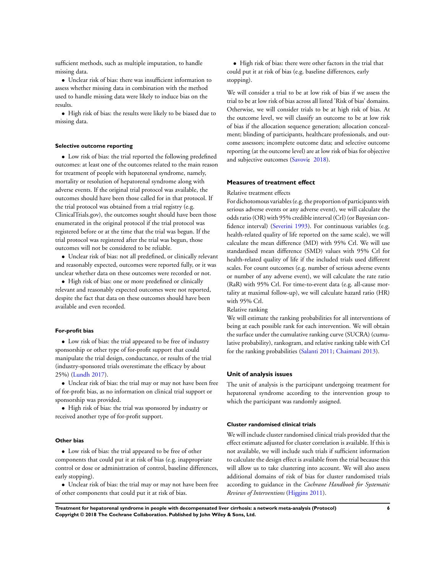sufficient methods, such as multiple imputation, to handle missing data.

• Unclear risk of bias: there was insufficient information to assess whether missing data in combination with the method used to handle missing data were likely to induce bias on the results.

• High risk of bias: the results were likely to be biased due to missing data.

#### **Selective outcome reporting**

• Low risk of bias: the trial reported the following predefined outcomes: at least one of the outcomes related to the main reason for treatment of people with hepatorenal syndrome, namely, mortality or resolution of hepatorenal syndrome along with adverse events. If the original trial protocol was available, the outcomes should have been those called for in that protocol. If the trial protocol was obtained from a trial registry (e.g. ClinicalTrials.gov), the outcomes sought should have been those enumerated in the original protocol if the trial protocol was registered before or at the time that the trial was begun. If the trial protocol was registered after the trial was begun, those outcomes will not be considered to be reliable.

• Unclear risk of bias: not all predefined, or clinically relevant and reasonably expected, outcomes were reported fully, or it was unclear whether data on these outcomes were recorded or not.

• High risk of bias: one or more predefined or clinically relevant and reasonably expected outcomes were not reported, despite the fact that data on these outcomes should have been available and even recorded.

#### **For-profit bias**

• Low risk of bias: the trial appeared to be free of industry sponsorship or other type of for-profit support that could manipulate the trial design, conductance, or results of the trial (industry-sponsored trials overestimate the efficacy by about 25%) ([Lundh 2017](#page-11-0)).

• Unclear risk of bias: the trial may or may not have been free of for-profit bias, as no information on clinical trial support or sponsorship was provided.

• High risk of bias: the trial was sponsored by industry or received another type of for-profit support.

#### **Other bias**

• Low risk of bias: the trial appeared to be free of other components that could put it at risk of bias (e.g. inappropriate control or dose or administration of control, baseline differences, early stopping).

• Unclear risk of bias: the trial may or may not have been free of other components that could put it at risk of bias.

• High risk of bias: there were other factors in the trial that could put it at risk of bias (e.g. baseline differences, early stopping).

We will consider a trial to be at low risk of bias if we assess the trial to be at low risk of bias across all listed 'Risk of bias' domains. Otherwise, we will consider trials to be at high risk of bias. At the outcome level, we will classify an outcome to be at low risk of bias if the allocation sequence generation; allocation concealment; blinding of participants, healthcare professionals, and outcome assessors; incomplete outcome data; and selective outcome reporting (at the outcome level) are at low risk of bias for objective and subjective outcomes ([Savovi](#page-11-0)c [2018\)](#page-11-0).

# **Measures of treatment effect**

#### Relative treatment effects

For dichotomous variables (e.g. the proportion of participants with serious adverse events or any adverse event), we will calculate the odds ratio (OR) with 95% credible interval (CrI) (or Bayesian confidence interval) [\(Severini 1993\)](#page-11-0). For continuous variables (e.g. health-related quality of life reported on the same scale), we will calculate the mean difference (MD) with 95% Crl. We will use standardised mean difference (SMD) values with 95% Crl for health-related quality of life if the included trials used different scales. For count outcomes (e.g. number of serious adverse events or number of any adverse event), we will calculate the rate ratio (RaR) with 95% Crl. For time-to-event data (e.g. all-cause mortality at maximal follow-up), we will calculate hazard ratio (HR) with 95% Crl.

Relative ranking

We will estimate the ranking probabilities for all interventions of being at each possible rank for each intervention. We will obtain the surface under the cumulative ranking curve (SUCRA) (cumulative probability), rankogram, and relative ranking table with CrI for the ranking probabilities ([Salanti 2011](#page-11-0); [Chaimani 2013\)](#page-11-0).

# **Unit of analysis issues**

The unit of analysis is the participant undergoing treatment for hepatorenal syndrome according to the intervention group to which the participant was randomly assigned.

#### **Cluster randomised clinical trials**

We will include cluster randomised clinical trials provided that the effect estimate adjusted for cluster correlation is available. If this is not available, we will include such trials if sufficient information to calculate the design effect is available from the trial because this will allow us to take clustering into account. We will also assess additional domains of risk of bias for cluster randomised trials according to guidance in the *Cochrane Handbook for Systematic Reviews of Interventions* ([Higgins 2011\)](#page-11-0).

**Treatment for hepatorenal syndrome in people with decompensated liver cirrhosis: a network meta-analysis (Protocol) 6 Copyright © 2018 The Cochrane Collaboration. Published by John Wiley & Sons, Ltd.**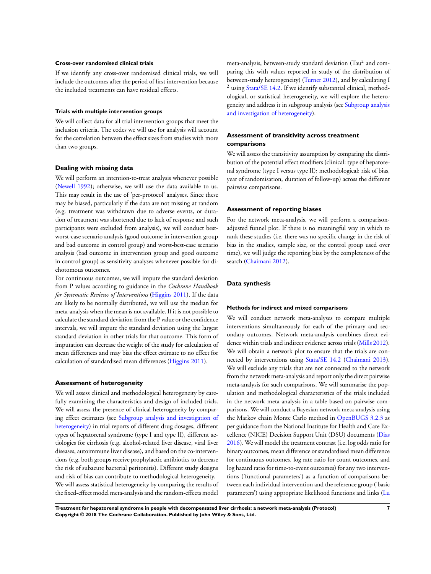# **Cross-over randomised clinical trials**

If we identify any cross-over randomised clinical trials, we will include the outcomes after the period of first intervention because the included treatments can have residual effects.

#### **Trials with multiple intervention groups**

We will collect data for all trial intervention groups that meet the inclusion criteria. The codes we will use for analysis will account for the correlation between the effect sizes from studies with more than two groups.

#### **Dealing with missing data**

We will perform an intention-to-treat analysis whenever possible [\(Newell 1992\)](#page-11-0); otherwise, we will use the data available to us. This may result in the use of 'per-protocol' analyses. Since these may be biased, particularly if the data are not missing at random (e.g. treatment was withdrawn due to adverse events, or duration of treatment was shortened due to lack of response and such participants were excluded from analysis), we will conduct bestworst-case scenario analysis (good outcome in intervention group and bad outcome in control group) and worst-best-case scenario analysis (bad outcome in intervention group and good outcome in control group) as sensitivity analyses whenever possible for dichotomous outcomes.

For continuous outcomes, we will impute the standard deviation from P values according to guidance in the *Cochrane Handbook for Systematic Reviews of Interventions* ([Higgins 2011\)](#page-11-0). If the data are likely to be normally distributed, we will use the median for meta-analysis when the mean is not available. If it is not possible to calculate the standard deviation from the P value or the confidence intervals, we will impute the standard deviation using the largest standard deviation in other trials for that outcome. This form of imputation can decrease the weight of the study for calculation of mean differences and may bias the effect estimate to no effect for calculation of standardised mean differences [\(Higgins 2011\)](#page-11-0).

# **Assessment of heterogeneity**

We will assess clinical and methodological heterogeneity by carefully examining the characteristics and design of included trials. We will assess the presence of clinical heterogeneity by comparing effect estimates (see [Subgroup analysis and investigation of](#page-2-0) [heterogeneity\)](#page-2-0) in trial reports of different drug dosages, different types of hepatorenal syndrome (type I and type II), different aetiologies for cirrhosis (e.g. alcohol-related liver disease, viral liver diseases, autoimmune liver disease), and based on the co-interventions (e.g. both groups receive prophylactic antibiotics to decrease the risk of subacute bacterial peritonitis). Different study designs and risk of bias can contribute to methodological heterogeneity. We will assess statistical heterogeneity by comparing the results of the fixed-effect model meta-analysis and the random-effects model

meta-analysis, between-study standard deviation (Tau $^2$  and comparing this with values reported in study of the distribution of between-study heterogeneity) ([Turner 2012](#page-11-0)), and by calculating I <sup>2</sup> using [Stata/SE 14.2](#page-11-0). If we identify substantial clinical, methodological, or statistical heterogeneity, we will explore the heterogeneity and address it in subgroup analysis (see [Subgroup analysis](#page-2-0) [and investigation of heterogeneity\)](#page-2-0).

# **Assessment of transitivity across treatment comparisons**

We will assess the transitivity assumption by comparing the distribution of the potential effect modifiers (clinical: type of hepatorenal syndrome (type I versus type II); methodological: risk of bias, year of randomisation, duration of follow-up) across the different pairwise comparisons.

#### **Assessment of reporting biases**

For the network meta-analysis, we will perform a comparisonadjusted funnel plot. If there is no meaningful way in which to rank these studies (i.e. there was no specific change in the risk of bias in the studies, sample size, or the control group used over time), we will judge the reporting bias by the completeness of the search ([Chaimani 2012](#page-11-0)).

# **Data synthesis**

#### **Methods for indirect and mixed comparisons**

We will conduct network meta-analyses to compare multiple interventions simultaneously for each of the primary and secondary outcomes. Network meta-analysis combines direct evidence within trials and indirect evidence across trials ([Mills 2012](#page-11-0)). We will obtain a network plot to ensure that the trials are connected by interventions using [Stata/SE 14.2](#page-11-0) [\(Chaimani 2013](#page-11-0)). We will exclude any trials that are not connected to the network from the network meta-analysis and report only the direct pairwise meta-analysis for such comparisons. We will summarise the population and methodological characteristics of the trials included in the network meta-analysis in a table based on pairwise comparisons. We will conduct a Bayesian network meta-analysis using the Markov chain Monte Carlo method in [OpenBUGS 3.2.3](#page-11-0) as per guidance from the National Institute for Health and Care Excellence (NICE) Decision Support Unit (DSU) documents [\(Dias](#page-11-0) [2016](#page-11-0)). We will model the treatment contrast (i.e. log odds ratio for binary outcomes, mean difference or standardised mean difference for continuous outcomes, log rate ratio for count outcomes, and log hazard ratio for time-to-event outcomes) for any two interventions ('functional parameters') as a function of comparisons between each individual intervention and the reference group ('basic parameters') using appropriate likelihood functions and links ([Lu](#page-11-0)

**Treatment for hepatorenal syndrome in people with decompensated liver cirrhosis: a network meta-analysis (Protocol) 7 Copyright © 2018 The Cochrane Collaboration. Published by John Wiley & Sons, Ltd.**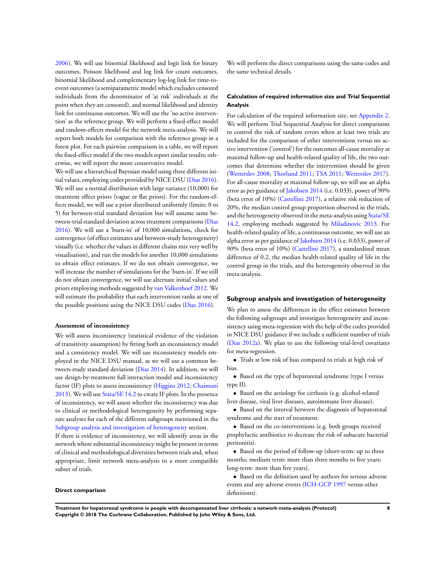[2006](#page-11-0)). We will use binomial likelihood and logit link for binary outcomes, Poisson likelihood and log link for count outcomes, binomial likelihood and complementary log-log link for time-toevent outcomes (a semiparametric model which excludes censored individuals from the denominator of 'at risk' individuals at the point when they are censored), and normal likelihood and identity link for continuous outcomes. We will use the 'no active intervention' as the reference group. We will perform a fixed-effect model and random-effects model for the network meta-analysis. We will report both models for comparison with the reference group in a forest plot. For each pairwise comparison in a table, we will report the fixed-effect model if the two models report similar results; otherwise, we will report the more conservative model.

We will use a hierarchical Bayesian model using three different initial values, employing codes provided by NICE DSU ([Dias 2016](#page-11-0)). We will use a normal distribution with large variance (10,000) for treatment effect priors (vague or flat priors). For the random-effects model, we will use a prior distributed uniformly (limits: 0 to 5) for between-trial standard deviation but will assume same between-trial standard deviation across treatment comparisons [\(Dias](#page-11-0) [2016](#page-11-0)). We will use a 'burn-in' of 10,000 simulations, check for convergence (of effect estimates and between-study heterogeneity) visually (i.e. whether the values in different chains mix very well by visualisation), and run the models for another 10,000 simulations to obtain effect estimates. If we do not obtain convergence, we will increase the number of simulations for the 'burn-in'. If we still do not obtain convergence, we will use alternate initial values and priors employing methods suggested by [van Valkenhoef 2012.](#page-11-0) We will estimate the probability that each intervention ranks at one of the possible positions using the NICE DSU codes ([Dias 2016](#page-11-0)).

#### **Assessment of inconsistency**

We will assess inconsistency (statistical evidence of the violation of transitivity assumption) by fitting both an inconsistency model and a consistency model. We will use inconsistency models employed in the NICE DSU manual, as we will use a common between-study standard deviation ([Dias 2014\)](#page-11-0). In addition, we will use design-by-treatment full interaction model and inconsistency factor (IF) plots to assess inconsistency ([Higgins 2012](#page-11-0); [Chaimani](#page-11-0) [2013](#page-11-0)). We will use [Stata/SE 14.2](#page-11-0) to create IF plots. In the presence of inconsistency, we will assess whether the inconsistency was due to clinical or methodological heterogeneity by performing separate analyses for each of the different subgroups mentioned in the [Subgroup analysis and investigation of heterogeneity](#page-2-0) section.

If there is evidence of inconsistency, we will identify areas in the network where substantial inconsistency might be present in terms of clinical and methodological diversities between trials and, when appropriate, limit network meta-analysis to a more compatible subset of trials.

We will perform the direct comparisons using the same codes and the same technical details.

# **Calculation of required information size and Trial Sequential Analysis**

For calculation of the required information size, see [Appendix 2.](#page-16-0) We will perform Trial Sequential Analysis for direct comparisons to control the risk of random errors when at least two trials are included for the comparison of other interventions versus no active intervention ('control') for the outcomes all-cause mortality at maximal follow-up and health-related quality of life, the two outcomes that determine whether the intervention should be given [\(Wetterslev 2008](#page-11-0); [Thorlund 2011](#page-11-0); [TSA 2011](#page-11-0); [Wetterslev 2017](#page-11-0)). For all-cause mortality at maximal follow-up, we will use an alpha error as per guidance of [Jakobsen 2014](#page-11-0) (i.e. 0.033), power of 90% (beta error of 10%) [\(Castellini 2017\)](#page-11-0), a relative risk reduction of 20%, the median control group proportion observed in the trials, and the heterogeneity observed in the meta-analysis using [Stata/SE](#page-11-0) [14.2,](#page-11-0) employing methods suggested by [Miladinovic 2013](#page-11-0). For health-related quality of life, a continuous outcome, we will use an alpha error as per guidance of [Jakobsen 2014](#page-11-0) (i.e. 0.033), power of 90% (beta error of 10%) [\(Castellini 2017\)](#page-11-0), a standardised mean difference of 0.2, the median health-related quality of life in the control group in the trials, and the heterogeneity observed in the meta-analysis.

## **Subgroup analysis and investigation of heterogeneity**

We plan to assess the differences in the effect estimates between the following subgroups and investigate heterogeneity and inconsistency using meta-regression with the help of the codes provided in NICE DSU guidance if we include a sufficient number of trials [\(Dias 2012a](#page-11-0)). We plan to use the following trial-level covariates for meta-regression.

• Trials at low risk of bias compared to trials at high risk of bias.

• Based on the type of hepatorenal syndrome (type I versus type II).

• Based on the aetiology for cirrhosis (e.g. alcohol-related liver disease, viral liver diseases, autoimmune liver disease).

• Based on the interval between the diagnosis of hepatorenal syndrome and the start of treatment.

• Based on the co-interventions (e.g. both groups received prophylactic antibiotics to decrease the risk of subacute bacterial peritonitis).

• Based on the period of follow-up (short-term: up to three months; medium term: more than three months to five years; long-term: more than five years).

• Based on the definition used by authors for serious adverse events and any adverse events [\(ICH-GCP 1997](#page-11-0) versus other definitions).

**Treatment for hepatorenal syndrome in people with decompensated liver cirrhosis: a network meta-analysis (Protocol) 8 Copyright © 2018 The Cochrane Collaboration. Published by John Wiley & Sons, Ltd.**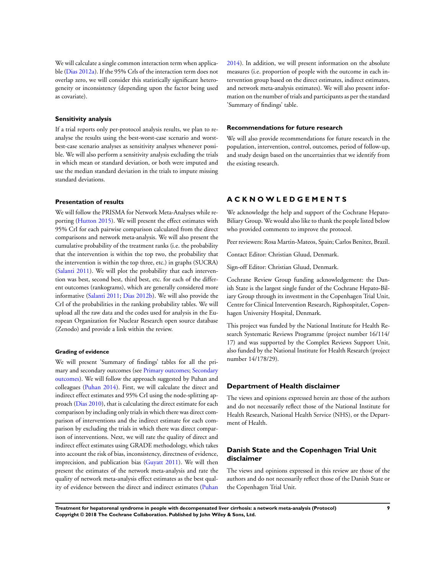We will calculate a single common interaction term when applicable [\(Dias 2012a](#page-11-0)). If the 95% Crls of the interaction term does not overlap zero, we will consider this statistically significant heterogeneity or inconsistency (depending upon the factor being used as covariate).

# **Sensitivity analysis**

If a trial reports only per-protocol analysis results, we plan to reanalyse the results using the best-worst-case scenario and worstbest-case scenario analyses as sensitivity analyses whenever possible. We will also perform a sensitivity analysis excluding the trials in which mean or standard deviation, or both were imputed and use the median standard deviation in the trials to impute missing standard deviations.

# **Presentation of results**

We will follow the PRISMA for Network Meta-Analyses while reporting [\(Hutton 2015\)](#page-11-0). We will present the effect estimates with 95% CrI for each pairwise comparison calculated from the direct comparisons and network meta-analysis. We will also present the cumulative probability of the treatment ranks (i.e. the probability that the intervention is within the top two, the probability that the intervention is within the top three, etc.) in graphs (SUCRA) [\(Salanti 2011\)](#page-11-0). We will plot the probability that each intervention was best, second best, third best, etc. for each of the different outcomes (rankograms), which are generally considered more informative ([Salanti 2011](#page-11-0); [Dias 2012b](#page-11-0)). We will also provide the CrI of the probabilities in the ranking probability tables. We will upload all the raw data and the codes used for analysis in the European Organization for Nuclear Research open source database (Zenodo) and provide a link within the review.

#### **Grading of evidence**

We will present 'Summary of findings' tables for all the primary and secondary outcomes (see [Primary outcomes](#page-2-0); [Secondary](#page-2-0) [outcomes](#page-2-0)). We will follow the approach suggested by Puhan and colleagues [\(Puhan 2014](#page-11-0)). First, we will calculate the direct and indirect effect estimates and 95% CrI using the node-splitting approach ([Dias 2010](#page-11-0)), that is calculating the direct estimate for each comparison by including only trials in which there was direct comparison of interventions and the indirect estimate for each comparison by excluding the trials in which there was direct comparison of interventions. Next, we will rate the quality of direct and indirect effect estimates using GRADE methodology, which takes into account the risk of bias, inconsistency, directness of evidence, imprecision, and publication bias ([Guyatt 2011](#page-11-0)). We will then present the estimates of the network meta-analysis and rate the quality of network meta-analysis effect estimates as the best quality of evidence between the direct and indirect estimates ([Puhan](#page-11-0)

[2014](#page-11-0)). In addition, we will present information on the absolute measures (i.e. proportion of people with the outcome in each intervention group based on the direct estimates, indirect estimates, and network meta-analysis estimates). We will also present information on the number of trials and participants as per the standard 'Summary of findings' table.

#### **Recommendations for future research**

We will also provide recommendations for future research in the population, intervention, control, outcomes, period of follow-up, and study design based on the uncertainties that we identify from the existing research.

# **A C K N O W L E D G E M E N T S**

We acknowledge the help and support of the Cochrane Hepato-Biliary Group. We would also like to thank the people listed below who provided comments to improve the protocol.

Peer reviewers: Rosa Martin-Mateos, Spain; Carlos Benitez, Brazil.

Contact Editor: Christian Gluud, Denmark.

Sign-off Editor: Christian Gluud, Denmark.

Cochrane Review Group funding acknowledgement: the Danish State is the largest single funder of the Cochrane Hepato-Biliary Group through its investment in the Copenhagen Trial Unit, Centre for Clinical Intervention Research, Rigshospitalet, Copenhagen University Hospital, Denmark.

This project was funded by the National Institute for Health Research Systematic Reviews Programme (project number 16/114/ 17) and was supported by the Complex Reviews Support Unit, also funded by the National Institute for Health Research (project number 14/178/29).

# **Department of Health disclaimer**

The views and opinions expressed herein are those of the authors and do not necessarily reflect those of the National Institute for Health Research, National Health Service (NHS), or the Department of Health.

# **Danish State and the Copenhagen Trial Unit disclaimer**

The views and opinions expressed in this review are those of the authors and do not necessarily reflect those of the Danish State or the Copenhagen Trial Unit.

**Treatment for hepatorenal syndrome in people with decompensated liver cirrhosis: a network meta-analysis (Protocol) 9 Copyright © 2018 The Cochrane Collaboration. Published by John Wiley & Sons, Ltd.**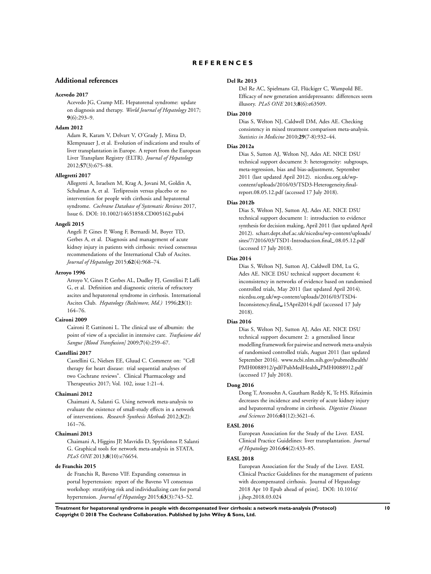# <span id="page-11-0"></span>**Additional references**

## **Acevedo 2017**

Acevedo JG, Cramp ME. Hepatorenal syndrome: update on diagnosis and therapy. *World Journal of Hepatology* 2017; **9**(6):293–9.

#### **Adam 2012**

Adam R, Karam V, Delvart V, O'Grady J, Mirza D, Klempnauer J, et al. Evolution of indications and results of liver transplantation in Europe. A report from the European Liver Transplant Registry (ELTR). *Journal of Hepatology* 2012;**57**(3):675–88.

# **Allegretti 2017**

Allegretti A, Israelsen M, Krag A, Jovani M, Goldin A, Schulman A, et al. Terlipressin versus placebo or no intervention for people with cirrhosis and hepatorenal syndrome. *Cochrane Database of Systematic Reviews* 2017, Issue 6. DOI: 10.1002/14651858.CD005162.pub4

# **Angeli 2015**

Angeli P, Gines P, Wong F, Bernardi M, Boyer TD, Gerbes A, et al. Diagnosis and management of acute kidney injury in patients with cirrhosis: revised consensus recommendations of the International Club of Ascites. *Journal of Hepatology* 2015;**62**(4):968–74.

#### **Arroyo 1996**

Arroyo V, Gines P, Gerbes AL, Dudley FJ, Gentilini P, Laffi G, et al. Definition and diagnostic criteria of refractory ascites and hepatorenal syndrome in cirrhosis. International Ascites Club. *Hepatology (Baltimore, Md.)* 1996;**23**(1): 164–76.

#### **Caironi 2009**

Caironi P, Gattinoni L. The clinical use of albumin: the point of view of a specialist in intensive care. *Trasfusione del Sangue [Blood Transfusion]* 2009;**7**(4):259–67.

## **Castellini 2017**

Castellini G, Nielsen EE, Gluud C. Comment on: "Cell therapy for heart disease: trial sequential analyses of two Cochrane reviews". Clinical Pharmacology and Therapeutics 2017; Vol. 102, issue 1:21–4.

#### **Chaimani 2012**

Chaimani A, Salanti G. Using network meta-analysis to evaluate the existence of small-study effects in a network of interventions. *Research Synthesis Methods* 2012;**3**(2): 161–76.

#### **Chaimani 2013**

Chaimani A, Higgins JP, Mavridis D, Spyridonos P, Salanti G. Graphical tools for network meta-analysis in STATA. *PLoS ONE* 2013;**8**(10):e76654.

## **de Franchis 2015**

de Franchis R, Baveno VIF. Expanding consensus in portal hypertension: report of the Baveno VI consensus workshop: stratifying risk and individualizing care for portal hypertension. *Journal of Hepatology* 2015;**63**(3):743–52.

#### **Del Re 2013**

Del Re AC, Spielmans GI, Flückiger C, Wampold BE. Efficacy of new generation antidepressants: differences seem illusory. *PLoS ONE* 2013;**8**(6):e63509.

# **Dias 2010**

Dias S, Welton NJ, Caldwell DM, Ades AE. Checking consistency in mixed treatment comparison meta-analysis. *Statistics in Medicine* 2010;**29**(7-8):932–44.

## **Dias 2012a**

Dias S, Sutton AJ, Welton NJ, Ades AE. NICE DSU technical support document 3: heterogeneity: subgroups, meta-regression, bias and bias-adjustment, September 2011 (last updated April 2012). nicedsu.org.uk/wpcontent/uploads/2016/03/TSD3-Heterogeneity.finalreport.08.05.12.pdf (accessed 17 July 2018).

#### **Dias 2012b**

Dias S, Welton NJ, Sutton AJ, Ades AE. NICE DSU technical support document 1: introduction to evidence synthesis for decision making, April 2011 (last updated April 2012). scharr.dept.shef.ac.uk/nicedsu/wp-content/uploads/ sites/7/2016/03/TSD1-Introduction.final .08.05.12.pdf (accessed 17 July 2018).

#### **Dias 2014**

Dias S, Welton NJ, Sutton AJ, Caldwell DM, Lu G, Ades AE. NICE DSU technical support document 4: inconsistency in networks of evidence based on randomised controlled trials, May 2011 (last updated April 2014). nicedsu.org.uk/wp-content/uploads/2016/03/TSD4- Inconsistency.final .15April2014.pdf (accessed 17 July 2018).

## **Dias 2016**

Dias S, Welton NJ, Sutton AJ, Ades AE. NICE DSU technical support document 2: a generalised linear modelling framework for pairwise and network meta-analysis of randomised controlled trials, August 2011 (last updated September 2016). www.ncbi.nlm.nih.gov/pubmedhealth/ PMH0088912/pdf/PubMedHealth PMH0088912.pdf (accessed 17 July 2018).

## **Dong 2016**

Dong T, Aronsohn A, Gautham Reddy K, Te HS. Rifaximin decreases the incidence and severity of acute kidney injury and hepatorenal syndrome in cirrhosis. *Digestive Diseases and Sciences* 2016;**61**(12):3621–6.

#### **EASL 2016**

European Association for the Study of the Liver. EASL Clinical Practice Guidelines: liver transplantation. *Journal of Hepatology* 2016;**64**(2):433–85.

# **EASL 2018**

European Association for the Study of the Liver. EASL Clinical Practice Guidelines for the management of patients with decompensated cirrhosis. Journal of Hepatology 2018 Apr 10 Epub ahead of print]. DOI: 10.1016/ j.jhep.2018.03.024

**Treatment for hepatorenal syndrome in people with decompensated liver cirrhosis: a network meta-analysis (Protocol) 10 Copyright © 2018 The Cochrane Collaboration. Published by John Wiley & Sons, Ltd.**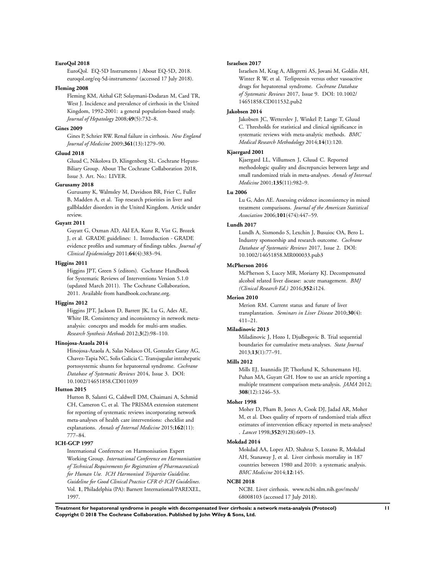## **EuroQol 2018**

EuroQol. EQ-5D Instruments | About EQ-5D, 2018. euroqol.org/eq-5d-instruments/ (accessed 17 July 2018).

#### **Fleming 2008**

Fleming KM, Aithal GP, Solaymani-Dodaran M, Card TR, West J. Incidence and prevalence of cirrhosis in the United Kingdom, 1992-2001: a general population-based study. *Journal of Hepatology* 2008;**49**(5):732–8.

## **Gines 2009**

Gines P, Schrier RW. Renal failure in cirrhosis. *New England Journal of Medicine* 2009;**361**(13):1279–90.

### **Gluud 2018**

Gluud C, Nikolova D, Klingenberg SL. Cochrane Hepato-Biliary Group. About The Cochrane Collaboration 2018, Issue 3. Art. No.: LIVER.

## **Gurusamy 2018**

Gurusamy K, Walmsley M, Davidson BR, Frier C, Fuller B, Madden A, et al. Top research priorities in liver and gallbladder disorders in the United Kingdom. Article under review.

# **Guyatt 2011**

Guyatt G, Oxman AD, Akl EA, Kunz R, Vist G, Brozek J, et al. GRADE guidelines: 1. Introduction - GRADE evidence profiles and summary of findings tables. *Journal of Clinical Epidemiology* 2011;**64**(4):383–94.

#### **Higgins 2011**

Higgins JPT, Green S (editors). Cochrane Handbook for Systematic Reviews of Interventions Version 5.1.0 (updated March 2011). The Cochrane Collaboration, 2011. Available from handbook.cochrane.org.

# **Higgins 2012**

Higgins JPT, Jackson D, Barrett JK, Lu G, Ades AE, White IR. Consistency and inconsistency in network metaanalysis: concepts and models for multi-arm studies. *Research Synthesis Methods* 2012;**3**(2):98–110.

#### **Hinojosa-Azaola 2014**

Hinojosa-Azaola A, Salas Nolasco OI, Gonzalez Garay AG, Chavez-Tapia NC, Solis Galicia C. Transjugular intrahepatic portosystemic shunts for hepatorenal syndrome. *Cochrane Database of Systematic Reviews* 2014, Issue 3. DOI: 10.1002/14651858.CD011039

#### **Hutton 2015**

Hutton B, Salanti G, Caldwell DM, Chaimani A, Schmid CH, Cameron C, et al. The PRISMA extension statement for reporting of systematic reviews incorporating network meta-analyses of health care interventions: checklist and explanations. *Annals of Internal Medicine* 2015;**162**(11): 777–84.

# **ICH-GCP 1997**

International Conference on Harmonisation Expert Working Group. *International Conference on Harmonisation of Technical Requirements for Registration of Pharmaceuticals for Human Use. ICH Harmonised Tripartite Guideline. Guideline for Good Clinical Practice CFR & ICH Guidelines*. Vol. **1**, Philadelphia (PA): Barnett International/PAREXEL, 1997.

#### **Israelsen 2017**

Israelsen M, Krag A, Allegretti AS, Jovani M, Goldin AH, Winter R W, et al. Terlipressin versus other vasoactive drugs for hepatorenal syndrome. *Cochrane Database of Systematic Reviews* 2017, Issue 9. DOI: 10.1002/ 14651858.CD011532.pub2

#### **Jakobsen 2014**

Jakobsen JC, Wetterslev J, Winkel P, Lange T, Gluud C. Thresholds for statistical and clinical significance in systematic reviews with meta-analytic methods. *BMC Medical Research Methodology* 2014;**14**(1):120.

# **Kjaergard 2001**

Kjaergard LL, Villumsen J, Gluud C. Reported methodologic quality and discrepancies between large and small randomized trials in meta-analyses. *Annals of Internal Medicine* 2001;**135**(11):982–9.

## **Lu 2006**

Lu G, Ades AE. Assessing evidence inconsistency in mixed treatment comparisons. *Journal of the American Statistical Association* 2006;**101**(474):447–59.

### **Lundh 2017**

Lundh A, Sismondo S, Lexchin J, Busuioc OA, Bero L. Industry sponsorship and research outcome. *Cochrane Database of Systematic Reviews* 2017, Issue 2. DOI: 10.1002/14651858.MR000033.pub3

#### **McPherson 2016**

McPherson S, Lucey MR, Moriarty KJ. Decompensated alcohol related liver disease: acute management. *BMJ (Clinical Research Ed.)* 2016;**352**:i124.

## **Merion 2010**

Merion RM. Current status and future of liver transplantation. *Seminars in Liver Disease* 2010;**30**(4): 411–21.

#### **Miladinovic 2013**

Miladinovic J, Hozo I, Djulbegovic B. Trial sequential boundaries for cumulative meta-analyses. *Stata Journal* 2013;**13**(1):77–91.

#### **Mills 2012**

Mills EJ, Ioannidis JP, Thorlund K, Schunemann HJ, Puhan MA, Guyatt GH. How to use an article reporting a multiple treatment comparison meta-analysis. *JAMA* 2012; **308**(12):1246–53.

#### **Moher 1998**

Moher D, Pham B, Jones A, Cook DJ, Jadad AR, Moher M, et al. Does quality of reports of randomised trials affect estimates of intervention efficacy reported in meta-analyses? . *Lancet* 1998;**352**(9128):609–13.

#### **Mokdad 2014**

Mokdad AA, Lopez AD, Shahraz S, Lozano R, Mokdad AH, Stanaway J, et al. Liver cirrhosis mortality in 187 countries between 1980 and 2010: a systematic analysis. *BMC Medicine* 2014;**12**:145.

## **NCBI 2018**

NCBI. Liver cirrhosis. www.ncbi.nlm.nih.gov/mesh/ 68008103 (accessed 17 July 2018).

**Treatment for hepatorenal syndrome in people with decompensated liver cirrhosis: a network meta-analysis (Protocol) 11 Copyright © 2018 The Cochrane Collaboration. Published by John Wiley & Sons, Ltd.**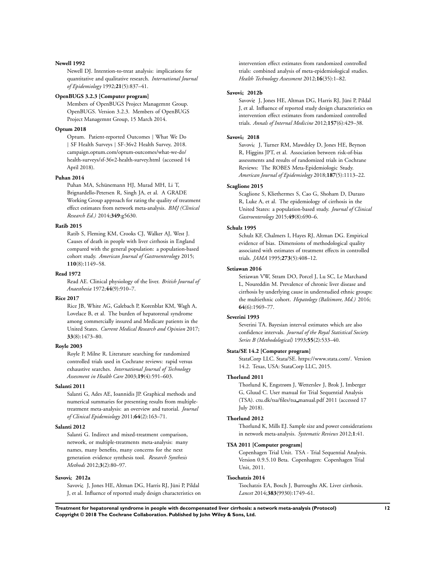#### **Newell 1992**

Newell DJ. Intention-to-treat analysis: implications for quantitative and qualitative research. *International Journal of Epidemiology* 1992;**21**(5):837–41.

# **OpenBUGS 3.2.3 [Computer program]**

Members of OpenBUGS Project Managemnt Group. OpenBUGS. Version 3.2.3. Members of OpenBUGS Project Managemnt Group, 15 March 2014.

# **Optum 2018**

Optum. Patient-reported Outcomes | What We Do | SF Health Surveys | SF-36v2 Health Survey, 2018. campaign.optum.com/optum-outcomes/what-we-do/ health-surveys/sf-36v2-health-survey.html (accessed 14 April 2018).

#### **Puhan 2014**

Puhan MA, Schünemann HJ, Murad MH, Li T, Brignardello-Petersen R, Singh JA, et al. A GRADE Working Group approach for rating the quality of treatment effect estimates from network meta-analysis. *BMJ (Clinical Research Ed.)* 2014;**349**:g5630.

## **Ratib 2015**

Ratib S, Fleming KM, Crooks CJ, Walker AJ, West J. Causes of death in people with liver cirrhosis in England compared with the general population: a population-based cohort study. *American Journal of Gastroenterology* 2015; **110**(8):1149–58.

#### **Read 1972**

Read AE. Clinical physiology of the liver. *British Journal of Anaesthesia* 1972;**44**(9):910–7.

#### **Rice 2017**

Rice JB, White AG, Galebach P, Korenblat KM, Wagh A, Lovelace B, et al. The burden of hepatorenal syndrome among commercially insured and Medicare patients in the United States. *Current Medical Research and Opinion* 2017; **33**(8):1473–80.

# **Royle 2003**

Royle P, Milne R. Literature searching for randomized controlled trials used in Cochrane reviews: rapid versus exhaustive searches. *International Journal of Technology Assessment in Health Care* 2003;**19**(4):591–603.

#### **Salanti 2011**

Salanti G, Ades AE, Ioannidis JP. Graphical methods and numerical summaries for presenting results from multipletreatment meta-analysis: an overview and tutorial. *Journal of Clinical Epidemiology* 2011;**64**(2):163–71.

## **Salanti 2012**

Salanti G. Indirect and mixed-treatment comparison, network, or multiple-treatments meta-analysis: many names, many benefits, many concerns for the next generation evidence synthesis tool. *Research Synthesis Methods* 2012;**3**(2):80–97.

#### **Savovi 2012a**

Savovic J, Jones HE, Altman DG, Harris RJ, Jüni P, Pildal J, et al. Influence of reported study design characteristics on intervention effect estimates from randomized controlled trials: combined analysis of meta-epidemiological studies. *Health Technology Assessment* 2012;**16**(35):1–82.

#### **Savovi 2012b**

Savović J, Jones HE, Altman DG, Harris RJ, Jüni P, Pildal J, et al. Influence of reported study design characteristics on intervention effect estimates from randomized controlled trials. *Annals of Internal Medicine* 2012;**157**(6):429–38.

#### **Savovi 2018**

Savović J, Turner RM, Mawdsley D, Jones HE, Beynon R, Higgins JPT, et al. Association between risk-of-bias assessments and results of randomized trials in Cochrane Reviews: The ROBES Meta-Epidemiologic Study. *American Journal of Epidemiology* 2018;**187**(5):1113–22.

#### **Scaglione 2015**

Scaglione S, Kliethermes S, Cao G, Shoham D, Durazo R, Luke A, et al. The epidemiology of cirrhosis in the United States: a population-based study. *Journal of Clinical Gastroenterology* 2015;**49**(8):690–6.

#### **Schulz 1995**

Schulz KF, Chalmers I, Hayes RJ, Altman DG. Empirical evidence of bias. Dimensions of methodological quality associated with estimates of treatment effects in controlled trials. *JAMA* 1995;**273**(5):408–12.

#### **Setiawan 2016**

Setiawan VW, Stram DO, Porcel J, Lu SC, Le Marchand L, Noureddin M. Prevalence of chronic liver disease and cirrhosis by underlying cause in understudied ethnic groups: the multiethnic cohort. *Hepatology (Baltimore, Md.)* 2016; **64**(6):1969–77.

#### **Severini 1993**

Severini TA. Bayesian interval estimates which are also confidence intervals. *Journal of the Royal Statistical Society. Series B (Methodological)* 1993;**55**(2):533–40.

## **Stata/SE 14.2 [Computer program]**

StataCorp LLC. Stata/SE. https://www.stata.com/. Version 14.2. Texas, USA: StataCorp LLC, 2015.

#### **Thorlund 2011**

Thorlund K, Engstrøm J, Wetterslev J, Brok J, Imberger G, Gluud C. User manual for Trial Sequential Analysis (TSA). ctu.dk/tsa/files/tsa manual.pdf 2011 (accessed 17 July 2018).

#### **Thorlund 2012**

Thorlund K, Mills EJ. Sample size and power considerations in network meta-analysis. *Systematic Reviews* 2012;**1**:41.

#### **TSA 2011 [Computer program]**

Copenhagen Trial Unit. TSA - Trial Sequential Analysis. Version 0.9.5.10 Beta. Copenhagen: Copenhagen Trial Unit, 2011.

# **Tsochatzis 2014**

Tsochatzis EA, Bosch J, Burroughs AK. Liver cirrhosis. *Lancet* 2014;**383**(9930):1749–61.

**Treatment for hepatorenal syndrome in people with decompensated liver cirrhosis: a network meta-analysis (Protocol) 12 Copyright © 2018 The Cochrane Collaboration. Published by John Wiley & Sons, Ltd.**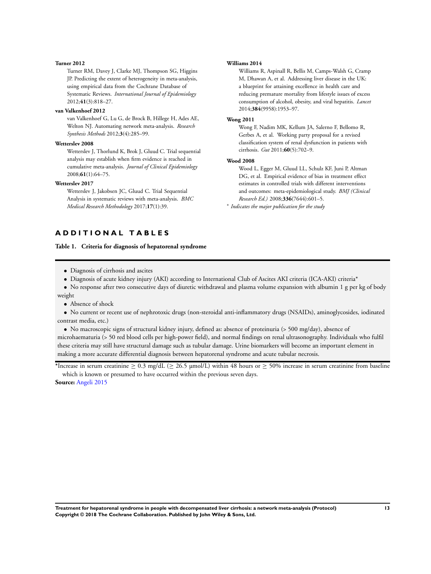#### <span id="page-14-0"></span>**Turner 2012**

Turner RM, Davey J, Clarke MJ, Thompson SG, Higgins JP. Predicting the extent of heterogeneity in meta-analysis, using empirical data from the Cochrane Database of Systematic Reviews. *International Journal of Epidemiology* 2012;**41**(3):818–27.

## **van Valkenhoef 2012**

van Valkenhoef G, Lu G, de Brock B, Hillege H, Ades AE, Welton NJ. Automating network meta-analysis. *Research Synthesis Methods* 2012;**3**(4):285–99.

# **Wetterslev 2008**

Wetterslev J, Thorlund K, Brok J, Gluud C. Trial sequential analysis may establish when firm evidence is reached in cumulative meta-analysis. *Journal of Clinical Epidemiology* 2008;**61**(1):64–75.

#### **Wetterslev 2017**

Wetterslev J, Jakobsen JC, Gluud C. Trial Sequential Analysis in systematic reviews with meta-analysis. *BMC Medical Research Methodology* 2017;**17**(1):39.

#### **Williams 2014**

Williams R, Aspinall R, Bellis M, Camps-Walsh G, Cramp M, Dhawan A, et al. Addressing liver disease in the UK: a blueprint for attaining excellence in health care and reducing premature mortality from lifestyle issues of excess consumption of alcohol, obesity, and viral hepatitis. *Lancet* 2014;**384**(9958):1953–97.

# **Wong 2011**

Wong F, Nadim MK, Kellum JA, Salerno F, Bellomo R, Gerbes A, et al. Working party proposal for a revised classification system of renal dysfunction in patients with cirrhosis. *Gut* 2011;**60**(5):702–9.

#### **Wood 2008**

Wood L, Egger M, Gluud LL, Schulz KF, Juni P, Altman DG, et al. Empirical evidence of bias in treatment effect estimates in controlled trials with different interventions and outcomes: meta-epidemiological study. *BMJ (Clinical Research Ed.)* 2008;**336**(7644):601–5.

∗ *Indicates the major publication for the study*

# **A D D I T I O N A L T A B L E S**

**Table 1. Criteria for diagnosis of hepatorenal syndrome**

• Diagnosis of cirrhosis and ascites

• Diagnosis of acute kidney injury (AKI) according to International Club of Ascites AKI criteria (ICA-AKI) criteria\*

• No response after two consecutive days of diuretic withdrawal and plasma volume expansion with albumin 1 g per kg of body weight

• Absence of shock

• No current or recent use of nephrotoxic drugs (non-steroidal anti-inflammatory drugs (NSAIDs), aminoglycosides, iodinated contrast media, etc.)

• No macroscopic signs of structural kidney injury, defined as: absence of proteinuria (> 500 mg/day), absence of microhaematuria (> 50 red blood cells per high-power field), and normal findings on renal ultrasonography. Individuals who fulfil these criteria may still have structural damage such as tubular damage. Urine biomarkers will become an important element in making a more accurate differential diagnosis between hepatorenal syndrome and acute tubular necrosis.

**\***Increase in serum creatinine ≥ 0.3 mg/dL (≥ 26.5 µmol/L) within 48 hours or ≥ 50% increase in serum creatinine from baseline which is known or presumed to have occurred within the previous seven days.

**Source:** [Angeli 2015](#page-11-0)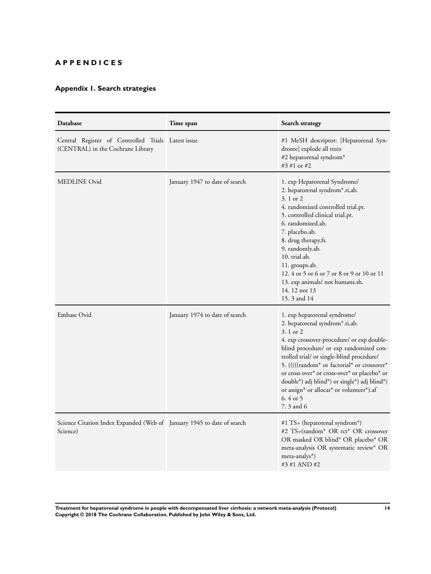# <span id="page-15-0"></span>**A P P E N D I C E S**

# **Appendix 1. Search strategies**

| Database                                                                                | Time span                      | Search strategy                                                                                                                                                                                                                                                                                                                                                                                                                        |
|-----------------------------------------------------------------------------------------|--------------------------------|----------------------------------------------------------------------------------------------------------------------------------------------------------------------------------------------------------------------------------------------------------------------------------------------------------------------------------------------------------------------------------------------------------------------------------------|
| Central Register of Controlled Trials Latest issue<br>(CENTRAL) in the Cochrane Library |                                | #1 MeSH descriptor: [Hepatorenal Syn-<br>drome] explode all trees<br>#2 hepatorenal syndrom*<br>#3 #1 or #2                                                                                                                                                                                                                                                                                                                            |
| <b>MEDLINE</b> Ovid                                                                     | January 1947 to date of search | 1. exp Hepatorenal Syndrome/<br>2. hepatorenal syndrom*.ti,ab.<br>3. 1 or 2<br>4. randomized controlled trial.pt.<br>5. controlled clinical trial.pt.<br>6. randomized.ab.<br>7. placebo.ab.<br>8. drug therapy.fs.<br>9. randomly.ab.<br>10. trial.ab.<br>11. groups.ab.<br>12. 4 or 5 or 6 or 7 or 8 or 9 or 10 or 11<br>13. exp animals/ not humans.sh.<br>14.12 not 13<br>15. 3 and 14                                             |
| Embase Ovid                                                                             | January 1974 to date of search | 1. exp hepatorenal syndrome/<br>2. hepatorenal syndrom*.ti,ab.<br>3. 1 or 2<br>4. exp crossover-procedure/ or exp double-<br>blind procedure/ or exp randomized con-<br>trolled trial/ or single-blind procedure/<br>5. (((((random* or factorial* or crossover*<br>or cross over* or cross-over* or placebo* or<br>double*) adj blind*) or single*) adj blind*)<br>or assign* or allocat* or volunteer*).af<br>6.4 or 5<br>7. 3 and 6 |
| Science Citation Index Expanded (Web of January 1945 to date of search<br>Science)      |                                | #1 TS= (hepatorenal syndrom*)<br>#2 TS=(random* OR rct* OR crossover<br>OR masked OR blind* OR placebo* OR<br>meta-analysis OR systematic review* OR<br>meta-analys*)<br>#3 #1 AND #2                                                                                                                                                                                                                                                  |

**Treatment for hepatorenal syndrome in people with decompensated liver cirrhosis: a network meta-analysis (Protocol) 14 Copyright © 2018 The Cochrane Collaboration. Published by John Wiley & Sons, Ltd.**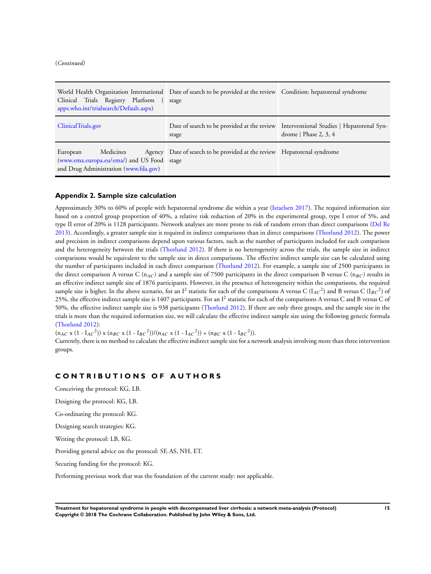<span id="page-16-0"></span>(*Continued)*

| Clinical Trials Registry Platform (stage<br>apps.who.int/trialsearch/Default.aspx)                           | World Health Organization International Date of search to be provided at the review Condition: hepatorenal syndrome |                                                                                                                  |
|--------------------------------------------------------------------------------------------------------------|---------------------------------------------------------------------------------------------------------------------|------------------------------------------------------------------------------------------------------------------|
| Clinical Trials.gov                                                                                          | stage                                                                                                               | Date of search to be provided at the review Interventional Studies   Hepatorenal Syn-<br>drome   Phase $2, 3, 4$ |
| Medicines<br>European<br>(www.ema.europa.eu/ema/) and US Food stage<br>and Drug Administration (www.fda.gov) | Agency Date of search to be provided at the review Hepatorenal syndrome                                             |                                                                                                                  |

# **Appendix 2. Sample size calculation**

Approximately 30% to 60% of people with hepatorenal syndrome die within a year ([Israelsen 2017\)](#page-11-0). The required information size based on a control group proportion of 40%, a relative risk reduction of 20% in the experimental group, type I error of 5%, and type II error of 20% is 1128 participants. Network analyses are more prone to risk of random errors than direct comparisons ([Del Re](#page-11-0) [2013](#page-11-0)). Accordingly, a greater sample size is required in indirect comparisons than in direct comparisons ([Thorlund 2012](#page-11-0)). The power and precision in indirect comparisons depend upon various factors, such as the number of participants included for each comparison and the heterogeneity between the trials ([Thorlund 2012](#page-11-0)). If there is no heterogeneity across the trials, the sample size in indirect comparisons would be equivalent to the sample size in direct comparisons. The effective indirect sample size can be calculated using the number of participants included in each direct comparison ([Thorlund 2012](#page-11-0)). For example, a sample size of 2500 participants in the direct comparison A versus C ( $n_{AC}$ ) and a sample size of 7500 participants in the direct comparison B versus C ( $n_{BC}$ ) results in an effective indirect sample size of 1876 participants. However, in the presence of heterogeneity within the comparisons, the required sample size is higher. In the above scenario, for an I<sup>2</sup> statistic for each of the comparisons A versus C (I<sub>AC</sub><sup>2</sup>) and B versus C (I<sub>BC</sub><sup>2</sup>) of 25%, the effective indirect sample size is 1407 participants. For an  $I^2$  statistic for each of the comparisons A versus C and B versus C of 50%, the effective indirect sample size is 938 participants ([Thorlund 2012](#page-11-0)). If there are only three groups, and the sample size in the trials is more than the required information size, we will calculate the effective indirect sample size using the following generic formula [\(Thorlund 2012](#page-11-0)):

 $(n_{AC} x (1 - I_{AC}^2)) x (n_{BC} x (1 - I_{BC}^2)) / (n_{AC} x (1 - I_{AC}^2)) + (n_{BC} x (1 - I_{BC}^2)).$ 

Currently, there is no method to calculate the effective indirect sample size for a network analysis involving more than three intervention groups.

# **C O N T R I B U T I O N S O F A U T H O R S**

Conceiving the protocol: KG, LB.

Designing the protocol: KG, LB.

Co-ordinating the protocol: KG.

Designing search strategies: KG.

Writing the protocol: LB, KG.

Providing general advice on the protocol: SF, AS, NH, ET.

Securing funding for the protocol: KG.

Performing previous work that was the foundation of the current study: not applicable.